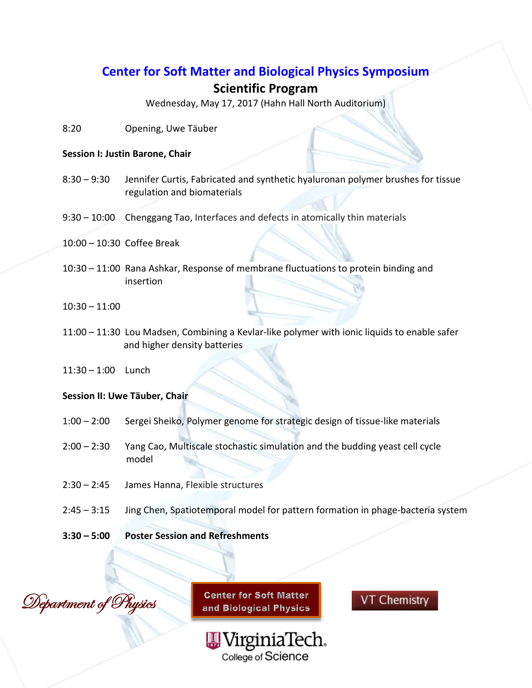## **Center for Soft Matter and Biological Physics Symposium**

## **Scientific Program**

Wednesday, May 17, 2017 (Hahn Hall North Auditorium)

8:20 Opening, Uwe Täuber

#### **Session I: Justin Barone, Chair**

- 8:30 9:30 Jennifer Curtis, Fabricated and synthetic hyaluronan polymer brushes for tissue regulation and biomaterials
- 9:30 10:00 Chenggang Tao, Interfaces and defects in atomically thin materials
- 10:00 10:30 Coffee Break
- 10:30 11:00 Rana Ashkar, Response of membrane fluctuations to protein binding and insertion
- 10:30 11:00
- 11:00 11:30 Lou Madsen, Combining a Kevlar-like polymer with ionic liquids to enable safer and higher density batteries
- 11:30 1:00 Lunch

#### **Session II: Uwe Tӓuber, Chair**

- 1:00 2:00 Sergei Sheiko, Polymer genome for strategic design of tissue-like materials
- 2:00 2:30 Yang Cao, Multiscale stochastic simulation and the budding yeast cell cycle model
- 2:30 2:45 James Hanna, Flexible structures
- 2:45 3:15 Jing Chen, Spatiotemporal model for pattern formation in phage-bacteria system
- **3:30 – 5:00 Poster Session and Refreshments**



**Center for Soft Matter** and Biological Physics

> WirginiaTech. College of Science

**VT Chemistry**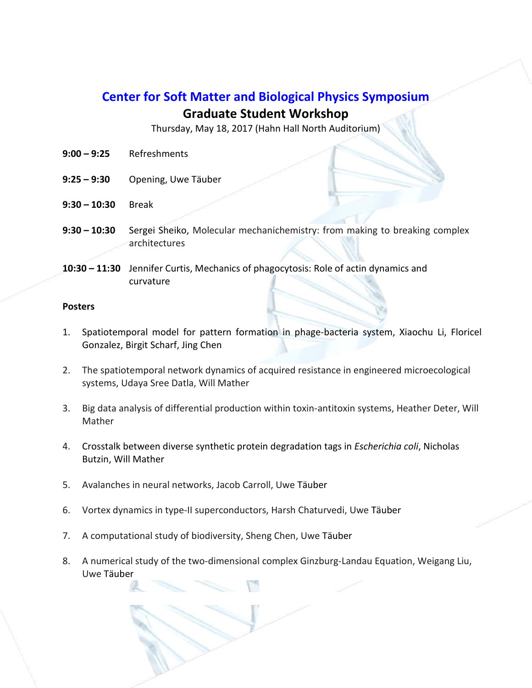# **Center for Soft Matter and Biological Physics Symposium**

### **Graduate Student Workshop**

Thursday, May 18, 2017 (Hahn Hall North Auditorium)

- **9:00 – 9:25** Refreshments
- **9:25 – 9:30** Opening, Uwe Tӓuber
- **9:30 – 10:30** Break
- **9:30 – 10:30** Sergei Sheiko, Molecular mechanichemistry: from making to breaking complex architectures
- **10:30 – 11:30** Jennifer Curtis, Mechanics of phagocytosis: Role of actin dynamics and curvature

#### **Posters**

- 1. Spatiotemporal model for pattern formation in phage-bacteria system, Xiaochu Li, Floricel Gonzalez, Birgit Scharf, Jing Chen
- 2. The spatiotemporal network dynamics of acquired resistance in engineered microecological systems, Udaya Sree Datla, Will Mather
- 3. Big data analysis of differential production within toxin-antitoxin systems, Heather Deter, Will Mather
- 4. Crosstalk between diverse synthetic protein degradation tags in *Escherichia coli*, Nicholas Butzin, Will Mather
- 5. Avalanches in neural networks, Jacob Carroll, Uwe Tӓuber
- 6. Vortex dynamics in type-II superconductors, Harsh Chaturvedi, Uwe Tӓuber
- 7. A computational study of biodiversity, Sheng Chen, Uwe Täuber
- 8. A numerical study of the two-dimensional complex Ginzburg-Landau Equation, Weigang Liu, Uwe Tӓuber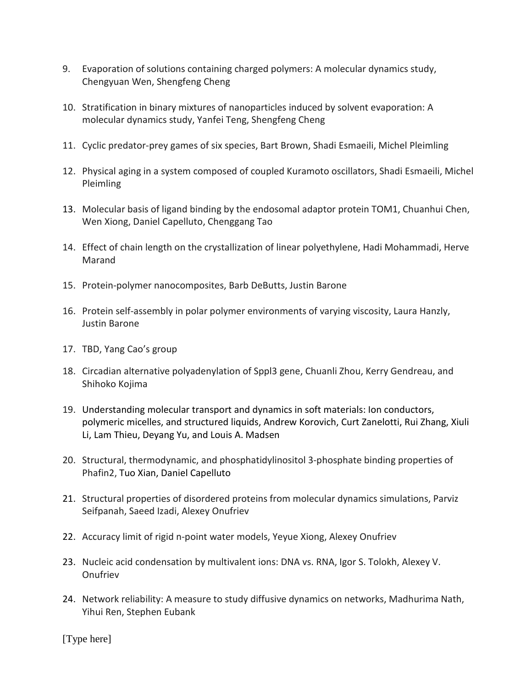- 9. Evaporation of solutions containing charged polymers: A molecular dynamics study, Chengyuan Wen, Shengfeng Cheng
- 10. Stratification in binary mixtures of nanoparticles induced by solvent evaporation: A molecular dynamics study, Yanfei Teng, Shengfeng Cheng
- 11. Cyclic predator-prey games of six species, Bart Brown, Shadi Esmaeili, Michel Pleimling
- 12. Physical aging in a system composed of coupled Kuramoto oscillators, Shadi Esmaeili, Michel Pleimling
- 13. Molecular basis of ligand binding by the endosomal adaptor protein TOM1, Chuanhui Chen, Wen Xiong, Daniel Capelluto, Chenggang Tao
- 14. Effect of chain length on the crystallization of linear polyethylene, Hadi Mohammadi, Herve Marand
- 15. Protein-polymer nanocomposites, Barb DeButts, Justin Barone
- 16. Protein self-assembly in polar polymer environments of varying viscosity, Laura Hanzly, Justin Barone
- 17. TBD, Yang Cao's group
- 18. Circadian alternative polyadenylation of Sppl3 gene, Chuanli Zhou, Kerry Gendreau, and Shihoko Kojima
- 19. Understanding molecular transport and dynamics in soft materials: Ion conductors, polymeric micelles, and structured liquids, Andrew Korovich, Curt Zanelotti, Rui Zhang, Xiuli Li, Lam Thieu, Deyang Yu, and Louis A. Madsen
- 20. Structural, thermodynamic, and phosphatidylinositol 3-phosphate binding properties of Phafin2, Tuo Xian, Daniel Capelluto
- 21. Structural properties of disordered proteins from molecular dynamics simulations, Parviz Seifpanah, Saeed Izadi, Alexey Onufriev
- 22. Accuracy limit of rigid n-point water models, Yeyue Xiong, Alexey Onufriev
- 23. Nucleic acid condensation by multivalent ions: DNA vs. RNA, Igor S. Tolokh, Alexey V. **Onufriev**
- 24. Network reliability: A measure to study diffusive dynamics on networks, Madhurima Nath, Yihui Ren, Stephen Eubank

[Type here]